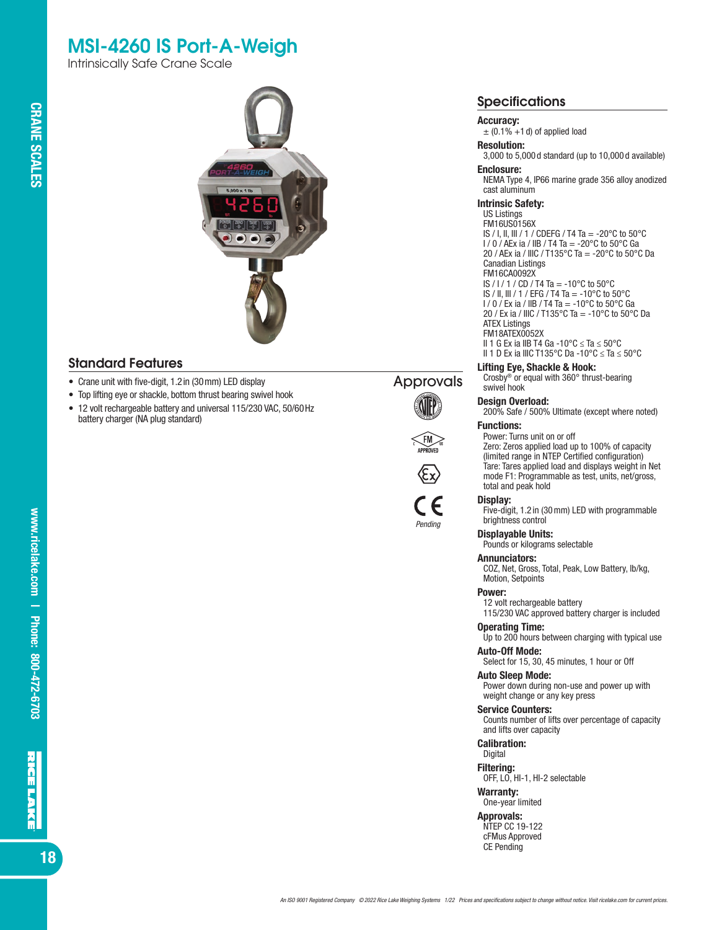# MSI-4260 IS Port-A-Weigh

Intrinsically Safe Crane Scale



### Standard Features

- Crane unit with five-digit, 1.2in (30mm) LED display
- Top lifting eye or shackle, bottom thrust bearing swivel hook
- 12 volt rechargeable battery and universal 115/230 VAC, 50/60Hz battery charger (NA plug standard)









*Pending*



## Accuracy:

 $\pm$  (0.1% +1 d) of applied load

#### Resolution:

3,000 to 5,000 d standard (up to 10,000 d available) Enclosure:

NEMA Type 4, IP66 marine grade 356 alloy anodized cast aluminum

#### Intrinsic Safety:

US Listings FM16US0156X IS / I, II, III / 1 / CDEFG / T4 Ta = -20°C to 50°C  $1/0$  / AEx ia / IIB / T4 Ta = -20 $^{\circ}$ C to 50 $^{\circ}$ C Ga 20 / AEx ia / IIIC / T135°C Ta = -20°C to 50°C Da Canadian Listings FM16CA0092X IS / I / 1 / CD / T4 Ta = -10°C to 50°C IS / II, III / 1 / EFG / T4 Ta = -10°C to 50°C  $1/0/Ex$  ia / IIB / T4 Ta = -10°C to 50°C Ga 20 / Ex ia / IIIC / T135°C Ta = -10°C to 50°C Da ATEX Listings FM18ATEX0052X

II 1 G Ex ia IIB T4 Ga -10°C ≤ Ta ≤ 50°C II 1 D Ex ia IIIC T135°C Da -10°C ≤ Ta ≤ 50°C

#### Lifting Eye, Shackle & Hook:

Crosby® or equal with 360° thrust-bearing swivel hook

#### Design Overload:

200% Safe / 500% Ultimate (except where noted) Functions:

### Power: Turns unit on or off

Zero: Zeros applied load up to 100% of capacity (limited range in NTEP Certified configuration) Tare: Tares applied load and displays weight in Net mode F1: Programmable as test, units, net/gross, total and peak hold

#### Display:

Five-digit, 1.2 in (30mm) LED with programmable brightness control

#### Displayable Units:

Pounds or kilograms selectable

#### Annunciators:

COZ, Net, Gross, Total, Peak, Low Battery, lb/kg, Motion, Setpoints

#### Power:

12 volt rechargeable battery

115/230 VAC approved battery charger is included

# Operating Time:

Up to 200 hours between charging with typical use Auto-Off Mode:

#### Select for 15, 30, 45 minutes, 1 hour or Off

Auto Sleep Mode:

Power down during non-use and power up with weight change or any key press

#### Service Counters:

Counts number of lifts over percentage of capacity and lifts over capacity

Calibration:

### Digital

Filtering: OFF, LO, HI-1, HI-2 selectable

# Warranty:

One-year limited

#### Approvals:

NTEP CC 19-122 cFMus Approved CE Pending

**CRANE SCALES**